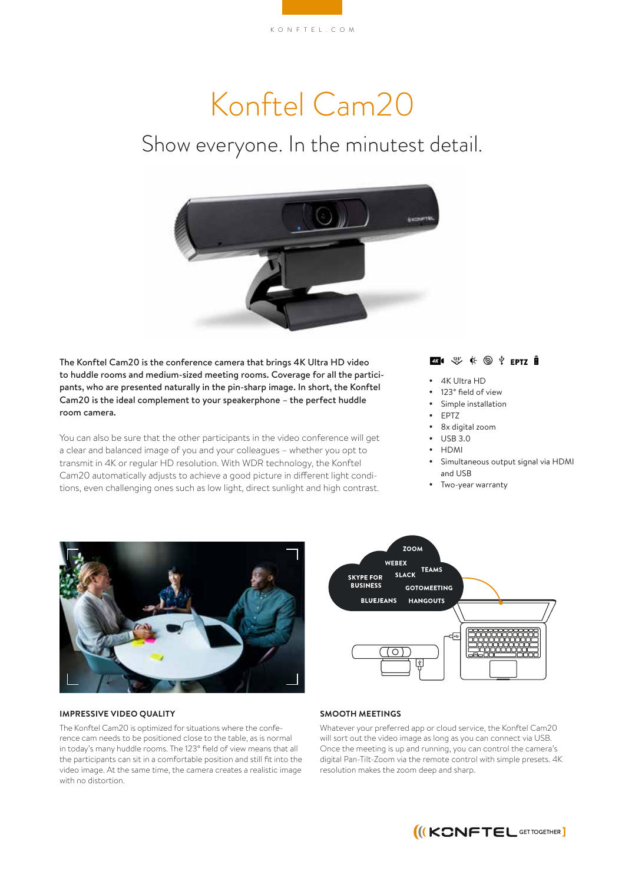# Konftel Cam20

## Show everyone. In the minutest detail.



The Konftel Cam20 is the conference camera that brings 4K Ultra HD video to huddle rooms and medium-sized meeting rooms. Coverage for all the participants, who are presented naturally in the pin-sharp image. In short, the Konftel Cam20 is the ideal complement to your speakerphone – the perfect huddle room camera.

You can also be sure that the other participants in the video conference will get a clear and balanced image of you and your colleagues – whether you opt to transmit in 4K or regular HD resolution. With WDR technology, the Konftel Cam20 automatically adjusts to achieve a good picture in different light conditions, even challenging ones such as low light, direct sunlight and high contrast.

#### $\overline{46}$  (  $\overline{43}$  )  $\overline{6}$  (  $\overline{6}$  )  $\overline{4}$  eptz  $\overline{8}$

- 4K Ultra HD
- 123° field of view
- Simple installation
- $\bullet$  FPTZ
- 8x digital zoom
- USB 3.0
- $\cdot$  HDMI
- Simultaneous output signal via HDMI and USB
- Two-year warranty





#### **IMPRESSIVE VIDEO QUALITY**

The Konftel Cam20 is optimized for situations where the conference cam needs to be positioned close to the table, as is normal in today's many huddle rooms. The 123° field of view means that all the participants can sit in a comfortable position and still fit into the video image. At the same time, the camera creates a realistic image with no distortion.

#### **SMOOTH MEETINGS**

Whatever your preferred app or cloud service, the Konftel Cam20 will sort out the video image as long as you can connect via USB. Once the meeting is up and running, you can control the camera's digital Pan-Tilt-Zoom via the remote control with simple presets. 4K resolution makes the zoom deep and sharp.